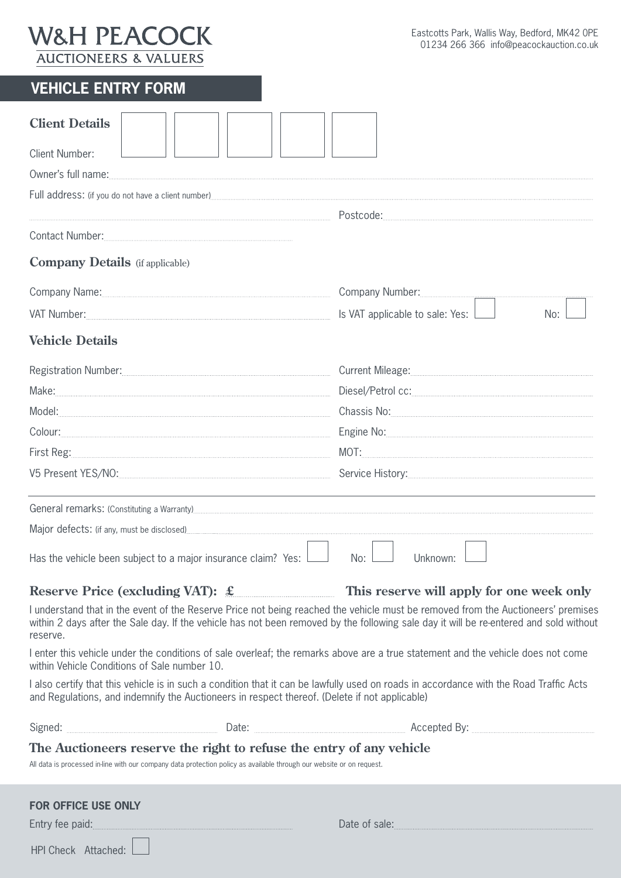# **W&H PEACOCK AUCTIONEERS & VALUERS**

| <b>VEHICLE ENTRY FORM.</b> |
|----------------------------|
|----------------------------|

| <b>Client Details</b><br><b>Client Number:</b><br>Owner's full name: www.watcher.com/watcher.com/watcher.com/watcher.com/watcher.com/watcher.com/watcher.com/watcher.com/watcher.com/watcher.com/watcher.com/watcher.com/watcher.com/watcher.com/watcher.com/watcher.com/watcher       |                                                                                                                                                                                                                                      |  |
|----------------------------------------------------------------------------------------------------------------------------------------------------------------------------------------------------------------------------------------------------------------------------------------|--------------------------------------------------------------------------------------------------------------------------------------------------------------------------------------------------------------------------------------|--|
|                                                                                                                                                                                                                                                                                        |                                                                                                                                                                                                                                      |  |
|                                                                                                                                                                                                                                                                                        |                                                                                                                                                                                                                                      |  |
| <b>Company Details</b> (if applicable)                                                                                                                                                                                                                                                 |                                                                                                                                                                                                                                      |  |
| Company Name: 2008 2008 2010 2010 2010 2010 2010 2011 2020 2021 2021 2022 2021 2021 2022 2023 2024 2022 2023 20                                                                                                                                                                        |                                                                                                                                                                                                                                      |  |
|                                                                                                                                                                                                                                                                                        | Is VAT applicable to sale: Yes: $\Box$<br>No:                                                                                                                                                                                        |  |
| <b>Vehicle Details</b>                                                                                                                                                                                                                                                                 |                                                                                                                                                                                                                                      |  |
| Registration Number: [11] Registration Number:                                                                                                                                                                                                                                         |                                                                                                                                                                                                                                      |  |
|                                                                                                                                                                                                                                                                                        | $\textsf{\textbf{Diesel/Petrol cc:}} \vspace{-0.5mm}$                                                                                                                                                                                |  |
|                                                                                                                                                                                                                                                                                        |                                                                                                                                                                                                                                      |  |
|                                                                                                                                                                                                                                                                                        |                                                                                                                                                                                                                                      |  |
|                                                                                                                                                                                                                                                                                        | $\text{MOT:}\underbrace{\hspace{2.5cm}}$                                                                                                                                                                                             |  |
|                                                                                                                                                                                                                                                                                        | Service History:                                                                                                                                                                                                                     |  |
| General remarks: (Constituting a Warranty) <sub></sub> 2008 Marranty 2008 Market 2018 Market 2018 Market 2018 Market 2018 Market 2018                                                                                                                                                  |                                                                                                                                                                                                                                      |  |
|                                                                                                                                                                                                                                                                                        |                                                                                                                                                                                                                                      |  |
| Has the vehicle been subject to a major insurance claim? Yes:                                                                                                                                                                                                                          | No:<br>Unknown:                                                                                                                                                                                                                      |  |
| Reserve Price (excluding VAT): $\mathcal{L}$ This reserve will apply for one week only                                                                                                                                                                                                 |                                                                                                                                                                                                                                      |  |
| I understand that in the event of the Reserve Price not being reached the vehicle must be removed from the Auctioneers' premises<br>within 2 days after the Sale day. If the vehicle has not been removed by the following sale day it will be re-entered and sold without<br>reserve. |                                                                                                                                                                                                                                      |  |
| I enter this vehicle under the conditions of sale overleaf; the remarks above are a true statement and the vehicle does not come<br>within Vehicle Conditions of Sale number 10.                                                                                                       |                                                                                                                                                                                                                                      |  |
| I also certify that this vehicle is in such a condition that it can be lawfully used on roads in accordance with the Road Traffic Acts<br>and Regulations, and indemnify the Auctioneers in respect thereof. (Delete if not applicable)                                                |                                                                                                                                                                                                                                      |  |
|                                                                                                                                                                                                                                                                                        |                                                                                                                                                                                                                                      |  |
| The Auctioneers reserve the right to refuse the entry of any vehicle<br>All data is processed in-line with our company data protection policy as available through our website or on request.                                                                                          |                                                                                                                                                                                                                                      |  |
| <b>FOR OFFICE USE ONLY</b>                                                                                                                                                                                                                                                             |                                                                                                                                                                                                                                      |  |
| Entry fee paid: <b>Manual Community of the paid:</b>                                                                                                                                                                                                                                   | Date of sale: <u>contract of sales and sales and sales and sales and sales and sales and sales and sales and sales and sales and sales and sales and sales and sales and sales and sales and sales and sales and sales and sales</u> |  |
| HPI Check Attached:                                                                                                                                                                                                                                                                    |                                                                                                                                                                                                                                      |  |